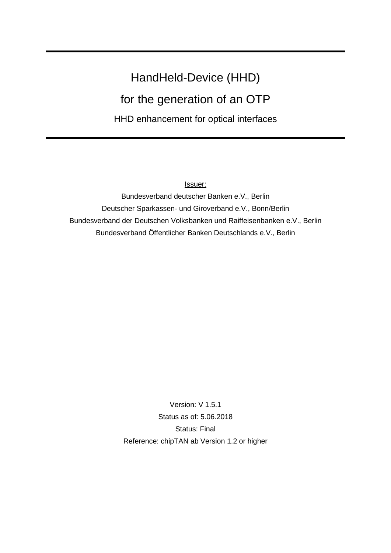# HandHeld-Device (HHD) for the generation of an OTP HHD enhancement for optical interfaces

Issuer:

Bundesverband deutscher Banken e.V., Berlin Deutscher Sparkassen- und Giroverband e.V., Bonn/Berlin Bundesverband der Deutschen Volksbanken und Raiffeisenbanken e.V., Berlin Bundesverband Öffentlicher Banken Deutschlands e.V., Berlin

> Version: V 1.5.1 Status as of: 5.06.2018 Status: Final Reference: chipTAN ab Version 1.2 or higher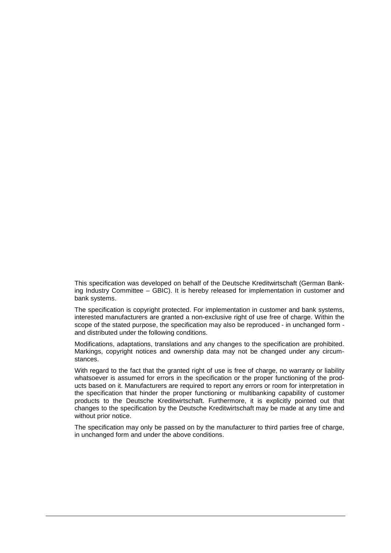This specification was developed on behalf of the Deutsche Kreditwirtschaft (German Banking Industry Committee – GBIC). It is hereby released for implementation in customer and bank systems.

The specification is copyright protected. For implementation in customer and bank systems, interested manufacturers are granted a non-exclusive right of use free of charge. Within the scope of the stated purpose, the specification may also be reproduced - in unchanged form and distributed under the following conditions.

Modifications, adaptations, translations and any changes to the specification are prohibited. Markings, copyright notices and ownership data may not be changed under any circumstances.

With regard to the fact that the granted right of use is free of charge, no warranty or liability whatsoever is assumed for errors in the specification or the proper functioning of the products based on it. Manufacturers are required to report any errors or room for interpretation in the specification that hinder the proper functioning or multibanking capability of customer products to the Deutsche Kreditwirtschaft. Furthermore, it is explicitly pointed out that changes to the specification by the Deutsche Kreditwirtschaft may be made at any time and without prior notice.

The specification may only be passed on by the manufacturer to third parties free of charge, in unchanged form and under the above conditions.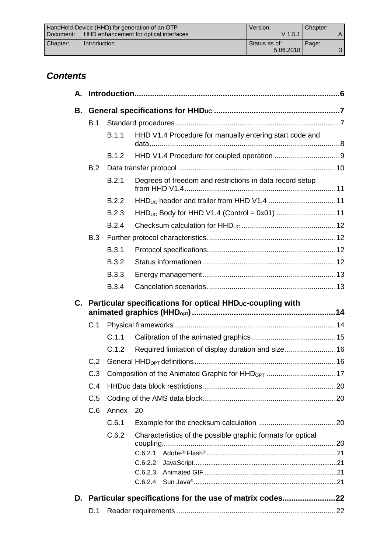|           | HandHeld-Device (HHD) for generation of an OTP | Version:      | Chapter: |  |
|-----------|------------------------------------------------|---------------|----------|--|
| Document: | HHD enhancement for optical interfaces         | $V$ 1.5.1     |          |  |
| Chapter:  | <b>Introduction</b>                            | Status as of: | Page:    |  |
|           |                                                | 5.06.2018     |          |  |

# *Contents*

| А. |       |              |                                                                           |  |  |  |
|----|-------|--------------|---------------------------------------------------------------------------|--|--|--|
| В. |       |              |                                                                           |  |  |  |
|    | B.1   |              |                                                                           |  |  |  |
|    |       | B.1.1        | HHD V1.4 Procedure for manually entering start code and                   |  |  |  |
|    | B.1.2 |              |                                                                           |  |  |  |
|    | B.2   |              |                                                                           |  |  |  |
|    |       | B.2.1        | Degrees of freedom and restrictions in data record setup                  |  |  |  |
|    |       | B.2.2        |                                                                           |  |  |  |
|    |       | B.2.3        | HHD <sub>UC</sub> Body for HHD V1.4 (Control = 0x01) 11                   |  |  |  |
|    |       | B.2.4        |                                                                           |  |  |  |
|    | B.3   |              |                                                                           |  |  |  |
|    |       | B.3.1        |                                                                           |  |  |  |
|    |       | <b>B.3.2</b> |                                                                           |  |  |  |
|    |       | <b>B.3.3</b> |                                                                           |  |  |  |
|    |       | <b>B.3.4</b> |                                                                           |  |  |  |
|    |       |              | C. Particular specifications for optical HHD <sub>uc</sub> -coupling with |  |  |  |
|    | C.1   |              |                                                                           |  |  |  |
|    |       | C.1.1        |                                                                           |  |  |  |
|    |       | C.1.2        | Required limitation of display duration and size 16                       |  |  |  |
|    | C.2   |              |                                                                           |  |  |  |
|    | C.3   |              |                                                                           |  |  |  |
|    | C.4   |              |                                                                           |  |  |  |
|    | C.5   |              |                                                                           |  |  |  |
|    | C.6   | Annex        | 20                                                                        |  |  |  |
|    |       | C.6.1        |                                                                           |  |  |  |
|    |       | C.6.2        | Characteristics of the possible graphic formats for optical               |  |  |  |
|    |       |              |                                                                           |  |  |  |
|    |       |              | C.6.2.2                                                                   |  |  |  |
|    |       |              | C.6.2.3                                                                   |  |  |  |
|    |       |              |                                                                           |  |  |  |
|    |       |              | D. Particular specifications for the use of matrix codes22                |  |  |  |
|    | D.1   |              |                                                                           |  |  |  |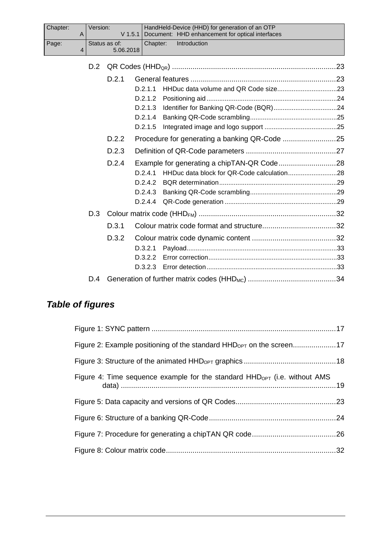| Chapter: | $\mathsf{A}$   | Version: | $V$ 1.5.1                  |          | HandHeld-Device (HHD) for generation of an OTP<br>Document: HHD enhancement for optical interfaces |  |
|----------|----------------|----------|----------------------------|----------|----------------------------------------------------------------------------------------------------|--|
| Page:    | $\overline{4}$ |          | Status as of:<br>5.06.2018 | Chapter: | Introduction                                                                                       |  |
|          |                | D.2      |                            |          |                                                                                                    |  |
|          |                |          | D.2.1                      |          |                                                                                                    |  |
|          |                |          |                            | D.2.1.1  |                                                                                                    |  |
|          |                |          |                            | D.2.1.2  |                                                                                                    |  |
|          |                |          |                            | D.2.1.3  |                                                                                                    |  |
|          |                |          |                            | D.2.1.4  |                                                                                                    |  |
|          |                |          |                            | D.2.1.5  |                                                                                                    |  |
|          |                |          | D.2.2                      |          |                                                                                                    |  |
|          |                |          | D.2.3                      |          |                                                                                                    |  |
|          |                |          | D.2.4                      |          |                                                                                                    |  |
|          |                |          |                            | D.2.4.1  |                                                                                                    |  |
|          |                |          |                            | D.2.4.2  |                                                                                                    |  |
|          |                |          |                            | D.2.4.3  |                                                                                                    |  |
|          |                |          |                            | D.2.4.4  |                                                                                                    |  |
|          |                | D.3      |                            |          |                                                                                                    |  |
|          |                |          | D.3.1                      |          |                                                                                                    |  |
|          |                |          | D.3.2                      |          |                                                                                                    |  |
|          |                |          |                            | D.3.2.1  |                                                                                                    |  |
|          |                |          |                            | D.3.2.2  |                                                                                                    |  |
|          |                |          |                            | D.3.2.3  |                                                                                                    |  |
|          |                | D.4      |                            |          |                                                                                                    |  |

# *Table of figures*

| Figure 2: Example positioning of the standard HHD <sub>OPT</sub> on the screen17 |  |
|----------------------------------------------------------------------------------|--|
|                                                                                  |  |
| Figure 4: Time sequence example for the standard $HHD_{OPT}$ (i.e. without AMS   |  |
|                                                                                  |  |
|                                                                                  |  |
|                                                                                  |  |
|                                                                                  |  |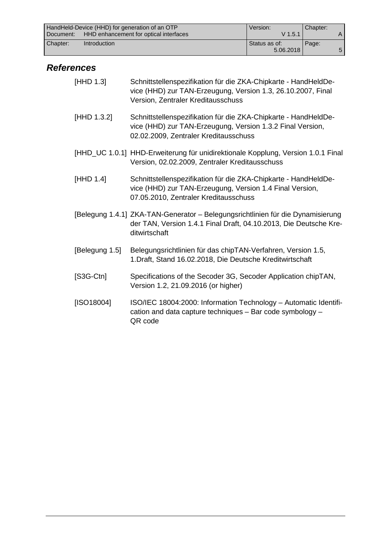|             | HandHeld-Device (HHD) for generation of an OTP | Version:        | Chapter: |  |
|-------------|------------------------------------------------|-----------------|----------|--|
| l Document: | HHD enhancement for optical interfaces         | $V$ 1.5.1       |          |  |
| Chapter:    | <b>Introduction</b>                            | l Status as of: | Page:    |  |
|             |                                                | 5.06.2018       |          |  |

# *References*

| [HHD 1.3]      | Schnittstellenspezifikation für die ZKA-Chipkarte - HandHeldDe-<br>vice (HHD) zur TAN-Erzeugung, Version 1.3, 26.10.2007, Final<br>Version, Zentraler Kreditausschuss  |
|----------------|------------------------------------------------------------------------------------------------------------------------------------------------------------------------|
| [HHD 1.3.2]    | Schnittstellenspezifikation für die ZKA-Chipkarte - HandHeldDe-<br>vice (HHD) zur TAN-Erzeugung, Version 1.3.2 Final Version,<br>02.02.2009, Zentraler Kreditausschuss |
|                | [HHD_UC 1.0.1] HHD-Erweiterung für unidirektionale Kopplung, Version 1.0.1 Final<br>Version, 02.02.2009, Zentraler Kreditausschuss                                     |
| [HHD 1.4]      | Schnittstellenspezifikation für die ZKA-Chipkarte - HandHeldDe-<br>vice (HHD) zur TAN-Erzeugung, Version 1.4 Final Version,<br>07.05.2010, Zentraler Kreditausschuss   |
|                | [Belegung 1.4.1] ZKA-TAN-Generator - Belegungsrichtlinien für die Dynamisierung<br>der TAN, Version 1.4.1 Final Draft, 04.10.2013, Die Deutsche Kre-<br>ditwirtschaft  |
| [Belegung 1.5] | Belegungsrichtlinien für das chipTAN-Verfahren, Version 1.5,<br>1. Draft, Stand 16.02.2018, Die Deutsche Kreditwirtschaft                                              |
| $[S3G-Ctn]$    | Specifications of the Secoder 3G, Secoder Application chipTAN,<br>Version 1.2, 21.09.2016 (or higher)                                                                  |
| [ISO18004]     | ISO/IEC 18004:2000: Information Technology - Automatic Identifi-<br>cation and data capture techniques - Bar code symbology -<br>QR code                               |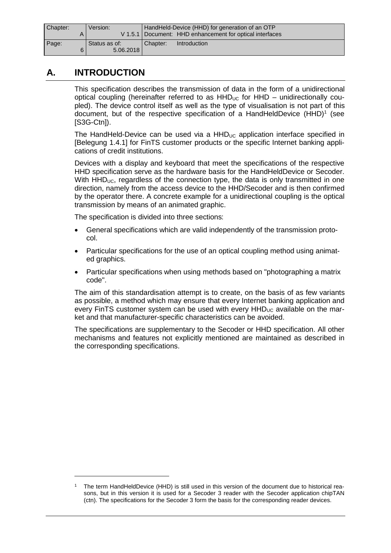| Chapter:<br>Version: |               | HandHeld-Device (HHD) for generation of an OTP |                                                            |
|----------------------|---------------|------------------------------------------------|------------------------------------------------------------|
|                      |               |                                                | V 1.5.1   Document: HHD enhancement for optical interfaces |
| Page:                | Status as of: | Chapter:                                       | Introduction                                               |
|                      | 5.06.2018     |                                                |                                                            |

# **A. INTRODUCTION**

This specification describes the transmission of data in the form of a unidirectional optical coupling (hereinafter referred to as  $HHD<sub>UC</sub>$  for  $HHD$  – unidirectionally coupled). The device control itself as well as the type of visualisation is not part of this document, but of the respective specification of a HandHeldDevice  $(HHD)^1$  (see [S3G-Ctn]).

The HandHeld-Device can be used via a  $HHD_{\text{UL}}$  application interface specified in [Belegung 1.4.1] for FinTS customer products or the specific Internet banking applications of credit institutions.

Devices with a display and keyboard that meet the specifications of the respective HHD specification serve as the hardware basis for the HandHeldDevice or Secoder. With  $HHD_{UC}$ , regardless of the connection type, the data is only transmitted in one direction, namely from the access device to the HHD/Secoder and is then confirmed by the operator there. A concrete example for a unidirectional coupling is the optical transmission by means of an animated graphic.

The specification is divided into three sections:

- · General specifications which are valid independently of the transmission protocol.
- · Particular specifications for the use of an optical coupling method using animated graphics.
- Particular specifications when using methods based on "photographing a matrix code".

The aim of this standardisation attempt is to create, on the basis of as few variants as possible, a method which may ensure that every Internet banking application and every FinTS customer system can be used with every  $HHD_{UC}$  available on the market and that manufacturer-specific characteristics can be avoided.

The specifications are supplementary to the Secoder or HHD specification. All other mechanisms and features not explicitly mentioned are maintained as described in the corresponding specifications.

<sup>1</sup> The term HandHeldDevice (HHD) is still used in this version of the document due to historical reasons, but in this version it is used for a Secoder 3 reader with the Secoder application chipTAN (ctn). The specifications for the Secoder 3 form the basis for the corresponding reader devices.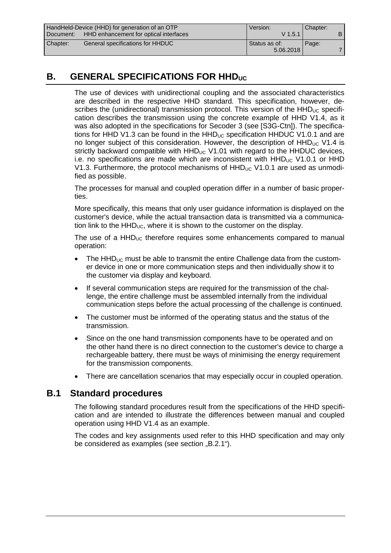|                                                       | HandHeld-Device (HHD) for generation of an OTP | Version:      | Chapter: |  |
|-------------------------------------------------------|------------------------------------------------|---------------|----------|--|
| HHD enhancement for optical interfaces<br>l Document: |                                                | $V$ 1.5.1     |          |  |
| Chapter:                                              | General specifications for HHDUC               | Status as of: | Page:    |  |
|                                                       |                                                | 5.06.2018     |          |  |

# **B. GENERAL SPECIFICATIONS FOR HHD**UC

The use of devices with unidirectional coupling and the associated characteristics are described in the respective HHD standard. This specification, however, describes the (unidirectional) transmission protocol. This version of the  $HHD_{UC}$  specification describes the transmission using the concrete example of HHD V1.4, as it was also adopted in the specifications for Secoder 3 (see [S3G-Ctn]). The specifications for HHD V1.3 can be found in the HHD $_{\text{UC}}$  specification HHDUC V1.0.1 and are no longer subject of this consideration. However, the description of  $HHD_{UC}$  V1.4 is strictly backward compatible with  $HHD_{UC}$  V1.01 with regard to the  $HHDUC$  devices, i.e. no specifications are made which are inconsistent with  $HHD_{\text{UC}}$  V1.0.1 or HHD V1.3. Furthermore, the protocol mechanisms of  $HHD_{UC}$  V1.0.1 are used as unmodified as possible.

The processes for manual and coupled operation differ in a number of basic properties.

More specifically, this means that only user guidance information is displayed on the customer's device, while the actual transaction data is transmitted via a communication link to the  $HHD_{UC}$ , where it is shown to the customer on the display.

The use of a  $HHD_{UC}$  therefore requires some enhancements compared to manual operation:

- The  $HHD_{UC}$  must be able to transmit the entire Challenge data from the customer device in one or more communication steps and then individually show it to the customer via display and keyboard.
- If several communication steps are required for the transmission of the challenge, the entire challenge must be assembled internally from the individual communication steps before the actual processing of the challenge is continued.
- The customer must be informed of the operating status and the status of the transmission.
- Since on the one hand transmission components have to be operated and on the other hand there is no direct connection to the customer's device to charge a rechargeable battery, there must be ways of minimising the energy requirement for the transmission components.
- There are cancellation scenarios that may especially occur in coupled operation.

### **B.1 Standard procedures**

The following standard procedures result from the specifications of the HHD specification and are intended to illustrate the differences between manual and coupled operation using HHD V1.4 as an example.

The codes and key assignments used refer to this HHD specification and may only be considered as examples (see section "B.2.1").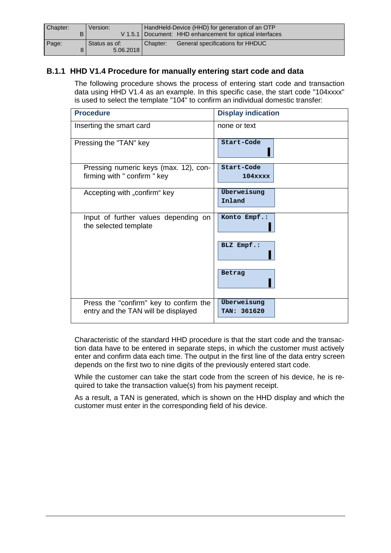| Chapter:<br>Version: |                            | HandHeld-Device (HHD) for generation of an OTP             |  |
|----------------------|----------------------------|------------------------------------------------------------|--|
|                      |                            | V 1.5.1   Document: HHD enhancement for optical interfaces |  |
| Page:                | Status as of:<br>5.06.2018 | <b>General specifications for HHDUC</b><br>Chapter:        |  |

### **B.1.1 HHD V1.4 Procedure for manually entering start code and data**

The following procedure shows the process of entering start code and transaction data using HHD V1.4 as an example. In this specific case, the start code "104xxxx" is used to select the template "104" to confirm an individual domestic transfer:

| <b>Procedure</b>                                                              | <b>Display indication</b>  |
|-------------------------------------------------------------------------------|----------------------------|
| Inserting the smart card                                                      | none or text               |
| Pressing the "TAN" key                                                        | Start-Code                 |
| Pressing numeric keys (max. 12), con-<br>firming with " confirm " key         | Start-Code<br>$104$ xxxx   |
| Accepting with "confirm" key                                                  | Überweisung<br>Inland      |
| Input of further values depending on<br>the selected template                 | Konto Empf.:               |
|                                                                               | BLZ Empf.:                 |
|                                                                               | Betrag                     |
| Press the "confirm" key to confirm the<br>entry and the TAN will be displayed | Überweisung<br>TAN: 361620 |

Characteristic of the standard HHD procedure is that the start code and the transaction data have to be entered in separate steps, in which the customer must actively enter and confirm data each time. The output in the first line of the data entry screen depends on the first two to nine digits of the previously entered start code.

While the customer can take the start code from the screen of his device, he is required to take the transaction value(s) from his payment receipt.

As a result, a TAN is generated, which is shown on the HHD display and which the customer must enter in the corresponding field of his device.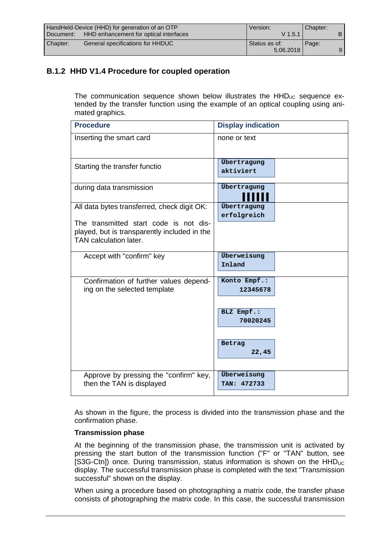|             | HandHeld-Device (HHD) for generation of an OTP | Version:      | Chapter: |   |
|-------------|------------------------------------------------|---------------|----------|---|
| l Document: | HHD enhancement for optical interfaces         | $V$ 1.5.1     |          |   |
| Chapter:    | General specifications for HHDUC               | Status as of: | Page:    |   |
|             |                                                | 5.06.2018     |          | 9 |

### **B.1.2 HHD V1.4 Procedure for coupled operation**

The communication sequence shown below illustrates the  $HHD_{UC}$  sequence extended by the transfer function using the example of an optical coupling using animated graphics.

| <b>Procedure</b>                                                                                                                                                | <b>Display indication</b>  |
|-----------------------------------------------------------------------------------------------------------------------------------------------------------------|----------------------------|
| Inserting the smart card                                                                                                                                        | none or text               |
| Starting the transfer functio                                                                                                                                   | Übertragung<br>aktiviert   |
| during data transmission                                                                                                                                        | Übertragung                |
| All data bytes transferred, check digit OK:<br>The transmitted start code is not dis-<br>played, but is transparently included in the<br>TAN calculation later. | Übertragung<br>erfolgreich |
| Accept with "confirm" key                                                                                                                                       | Überweisung<br>Inland      |
| Confirmation of further values depend-<br>ing on the selected template                                                                                          | Konto Empf.:<br>12345678   |
|                                                                                                                                                                 | BLZ Empf.:<br>70020245     |
|                                                                                                                                                                 | Betrag<br>22,45            |
| Approve by pressing the "confirm" key,<br>then the TAN is displayed                                                                                             | Überweisung<br>TAN: 472733 |

As shown in the figure, the process is divided into the transmission phase and the confirmation phase.

#### **Transmission phase**

At the beginning of the transmission phase, the transmission unit is activated by pressing the start button of the transmission function ("F" or "TAN" button, see [S3G-Ctn]) once. During transmission, status information is shown on the  $HHD_{UC}$ display. The successful transmission phase is completed with the text "Transmission successful" shown on the display.

When using a procedure based on photographing a matrix code, the transfer phase consists of photographing the matrix code. In this case, the successful transmission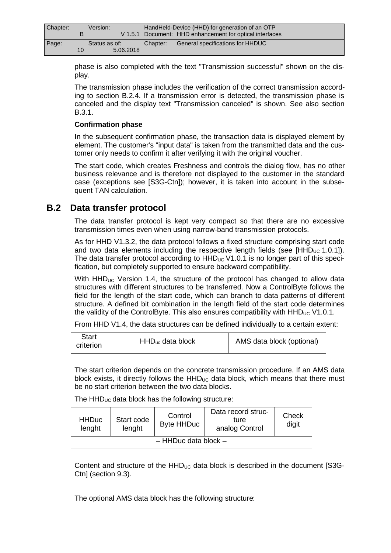| Chapter: | Version:      |          | HandHeld-Device (HHD) for generation of an OTP             |
|----------|---------------|----------|------------------------------------------------------------|
| в        |               |          | V 1.5.1   Document: HHD enhancement for optical interfaces |
| Page:    | Status as of: | Chapter: | General specifications for HHDUC                           |
| 10       | 5.06.2018     |          |                                                            |

phase is also completed with the text "Transmission successful" shown on the display.

The transmission phase includes the verification of the correct transmission according to section B.2.4. If a transmission error is detected, the transmission phase is canceled and the display text "Transmission canceled" is shown. See also section B.3.1.

#### **Confirmation phase**

In the subsequent confirmation phase, the transaction data is displayed element by element. The customer's "input data" is taken from the transmitted data and the customer only needs to confirm it after verifying it with the original voucher.

The start code, which creates Freshness and controls the dialog flow, has no other business relevance and is therefore not displayed to the customer in the standard case (exceptions see [S3G-Ctn]); however, it is taken into account in the subsequent TAN calculation.

# **B.2 Data transfer protocol**

The data transfer protocol is kept very compact so that there are no excessive transmission times even when using narrow-band transmission protocols.

As for HHD V1.3.2, the data protocol follows a fixed structure comprising start code and two data elements including the respective length fields (see [HHD $_{\text{UC}}$  1.0.1]). The data transfer protocol according to  $HHD_{UC}$  V1.0.1 is no longer part of this specification, but completely supported to ensure backward compatibility.

With  $HHD_{UC}$  Version 1.4, the structure of the protocol has changed to allow data structures with different structures to be transferred. Now a ControlByte follows the field for the length of the start code, which can branch to data patterns of different structure. A defined bit combination in the length field of the start code determines the validity of the ControlByte. This also ensures compatibility with  $HHD_{UC}$  V1.0.1.

From HHD V1.4, the data structures can be defined individually to a certain extent:

| Start<br>criterion | $HHD_{uc}$ data block | AMS data block (optional) |
|--------------------|-----------------------|---------------------------|
|--------------------|-----------------------|---------------------------|

The start criterion depends on the concrete transmission procedure. If an AMS data block exists, it directly follows the  $HHD_{\text{UL}}$  data block, which means that there must be no start criterion between the two data blocks.

The  $HHD_{UC}$  data block has the following structure:

| <b>HHDuc</b><br>lenght | Start code<br>lenght | Control<br><b>Byte HHDuc</b> | Data record struc-<br>ture<br>analog Control | Check<br>digit |
|------------------------|----------------------|------------------------------|----------------------------------------------|----------------|
|                        |                      | $-$ HHDuc data block $-$     |                                              |                |

Content and structure of the  $HHD_{UC}$  data block is described in the document [S3G-Ctn] (section 9.3).

The optional AMS data block has the following structure: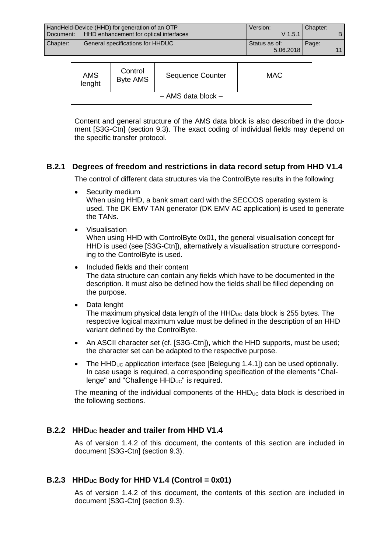| HandHeld-Device (HHD) for generation of an OTP |                                        | Version:      | Chapter: |  |
|------------------------------------------------|----------------------------------------|---------------|----------|--|
| Document:                                      | HHD enhancement for optical interfaces | $V$ 1.5.1     |          |  |
| Chapter:                                       | General specifications for HHDUC       | Status as of: | Page:    |  |
|                                                |                                        | 5.06.2018     |          |  |

| <b>AMS</b><br>lenght | Control<br><b>Byte AMS</b> | <b>Sequence Counter</b> | MAC |
|----------------------|----------------------------|-------------------------|-----|
|                      |                            | $-$ AMS data block $-$  |     |

Content and general structure of the AMS data block is also described in the document [S3G-Ctn] (section 9.3). The exact coding of individual fields may depend on the specific transfer protocol.

#### **B.2.1 Degrees of freedom and restrictions in data record setup from HHD V1.4**

The control of different data structures via the ControlByte results in the following:

Security medium

When using HHD, a bank smart card with the SECCOS operating system is used. The DK EMV TAN generator (DK EMV AC application) is used to generate the TANs.

**Visualisation** 

When using HHD with ControlByte 0x01, the general visualisation concept for HHD is used (see [S3G-Ctn]), alternatively a visualisation structure corresponding to the ControlByte is used.

- · Included fields and their content The data structure can contain any fields which have to be documented in the description. It must also be defined how the fields shall be filled depending on the purpose.
- Data lenght

The maximum physical data length of the  $HHD_{\text{UC}}$  data block is 255 bytes. The respective logical maximum value must be defined in the description of an HHD variant defined by the ControlByte.

- An ASCII character set (cf. [S3G-Ctn]), which the HHD supports, must be used; the character set can be adapted to the respective purpose.
- The  $HHD_{UC}$  application interface (see [Belegung 1.4.1]) can be used optionally. In case usage is required, a corresponding specification of the elements "Challenge" and "Challenge HHD<sub>UC</sub>" is required.

The meaning of the individual components of the  $HHD_{\text{UC}}$  data block is described in the following sections.

### **B.2.2 HHDUC header and trailer from HHD V1.4**

As of version 1.4.2 of this document, the contents of this section are included in document [S3G-Ctn] (section 9.3).

### **B.2.3 HHDUC Body for HHD V1.4 (Control = 0x01)**

As of version 1.4.2 of this document, the contents of this section are included in document [S3G-Ctn] (section 9.3).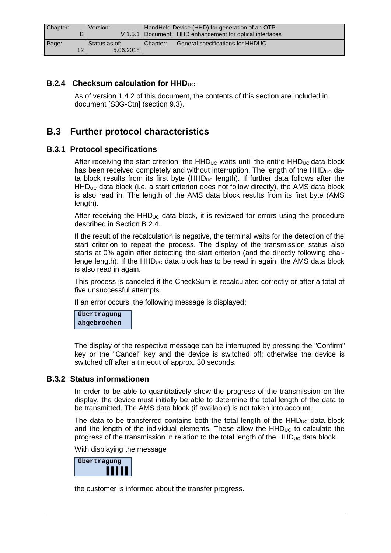| Chapter:        | Version:      | HandHeld-Device (HHD) for generation of an OTP             |
|-----------------|---------------|------------------------------------------------------------|
| B               |               | V 1.5.1   Document: HHD enhancement for optical interfaces |
| Page:           | Status as of: | General specifications for HHDUC<br>Chapter:               |
| 12 <sub>1</sub> | 5.06.2018     |                                                            |

#### **B.2.4 Checksum calculation for HHD**

As of version 1.4.2 of this document, the contents of this section are included in document [S3G-Ctn] (section 9.3).

# **B.3 Further protocol characteristics**

#### **B.3.1 Protocol specifications**

After receiving the start criterion, the  $HHD_{UC}$  waits until the entire  $HHD_{UC}$  data block has been received completely and without interruption. The length of the  $HHD_{UC}$  data block results from its first byte  $(HHD)_{\text{UC}}$  length). If further data follows after the  $HHD_{UC}$  data block (i.e. a start criterion does not follow directly), the AMS data block is also read in. The length of the AMS data block results from its first byte (AMS length).

After receiving the  $HHD_{UC}$  data block, it is reviewed for errors using the procedure described in Section B.2.4.

If the result of the recalculation is negative, the terminal waits for the detection of the start criterion to repeat the process. The display of the transmission status also starts at 0% again after detecting the start criterion (and the directly following challenge length). If the  $HHD_{UC}$  data block has to be read in again, the AMS data block is also read in again.

This process is canceled if the CheckSum is recalculated correctly or after a total of five unsuccessful attempts.

If an error occurs, the following message is displayed:

**Übertragung abgebrochen**

The display of the respective message can be interrupted by pressing the "Confirm" key or the "Cancel" key and the device is switched off; otherwise the device is switched off after a timeout of approx. 30 seconds.

#### **B.3.2 Status informationen**

In order to be able to quantitatively show the progress of the transmission on the display, the device must initially be able to determine the total length of the data to be transmitted. The AMS data block (if available) is not taken into account.

The data to be transferred contains both the total length of the  $HHD_{UC}$  data block and the length of the individual elements. These allow the  $HHD_{UC}$  to calculate the progress of the transmission in relation to the total length of the  $HHD_{UC}$  data block.

With displaying the message

| bertragung |  |
|------------|--|
|            |  |

the customer is informed about the transfer progress.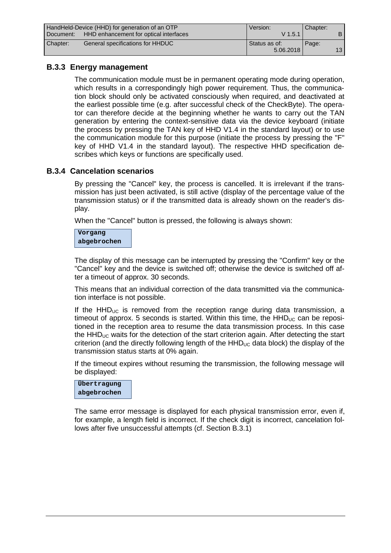| HandHeld-Device (HHD) for generation of an OTP |                                        | Version:      | Chapter: |    |
|------------------------------------------------|----------------------------------------|---------------|----------|----|
| Document:                                      | HHD enhancement for optical interfaces | $V$ 1.5.1     |          |    |
| Chapter:                                       | General specifications for HHDUC       | Status as of: | Page:    |    |
|                                                |                                        | 5.06.2018     |          | 13 |

### **B.3.3 Energy management**

The communication module must be in permanent operating mode during operation, which results in a correspondingly high power requirement. Thus, the communication block should only be activated consciously when required, and deactivated at the earliest possible time (e.g. after successful check of the CheckByte). The operator can therefore decide at the beginning whether he wants to carry out the TAN generation by entering the context-sensitive data via the device keyboard (initiate the process by pressing the TAN key of HHD V1.4 in the standard layout) or to use the communication module for this purpose (initiate the process by pressing the "F" key of HHD V1.4 in the standard layout). The respective HHD specification describes which keys or functions are specifically used.

### **B.3.4 Cancelation scenarios**

By pressing the "Cancel" key, the process is cancelled. It is irrelevant if the transmission has just been activated, is still active (display of the percentage value of the transmission status) or if the transmitted data is already shown on the reader's display.

When the "Cancel" button is pressed, the following is always shown:

**Vorgang abgebrochen**

The display of this message can be interrupted by pressing the "Confirm" key or the "Cancel" key and the device is switched off; otherwise the device is switched off after a timeout of approx. 30 seconds.

This means that an individual correction of the data transmitted via the communication interface is not possible.

If the  $HHD_{UC}$  is removed from the reception range during data transmission, a timeout of approx. 5 seconds is started. Within this time, the  $HHD<sub>UC</sub>$  can be repositioned in the reception area to resume the data transmission process. In this case the  $HHD_{UC}$  waits for the detection of the start criterion again. After detecting the start criterion (and the directly following length of the  $HHD_{\text{UC}}$  data block) the display of the transmission status starts at 0% again.

If the timeout expires without resuming the transmission, the following message will be displayed:



The same error message is displayed for each physical transmission error, even if, for example, a length field is incorrect. If the check digit is incorrect, cancelation follows after five unsuccessful attempts (cf. Section B.3.1)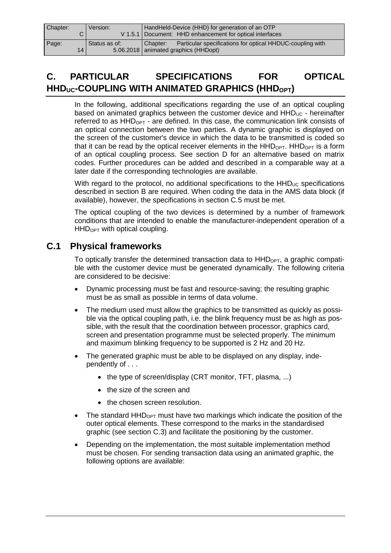| Chapter: | Version:      | HandHeld-Device (HHD) for generation of an OTP                        |  |
|----------|---------------|-----------------------------------------------------------------------|--|
|          |               | V 1.5.1   Document: HHD enhancement for optical interfaces            |  |
| Page:    | Status as of: | Particular specifications for optical HHDUC-coupling with<br>Chapter: |  |
| 14       |               | 5.06.2018   animated graphics (HHDopt)                                |  |

# **C. PARTICULAR SPECIFICATIONS FOR OPTICAL HHDUC-COUPLING WITH ANIMATED GRAPHICS (HHDOPT)**

In the following, additional specifications regarding the use of an optical coupling based on animated graphics between the customer device and  $HHD<sub>UC</sub>$  - hereinafter referred to as  $HHD<sub>OPT</sub>$  - are defined. In this case, the communication link consists of an optical connection between the two parties. A dynamic graphic is displayed on the screen of the customer's device in which the data to be transmitted is coded so that it can be read by the optical receiver elements in the  $HHD_{OPT}$ .  $HHD_{OPT}$  is a form of an optical coupling process. See section D for an alternative based on matrix codes. Further procedures can be added and described in a comparable way at a later date if the corresponding technologies are available.

With regard to the protocol, no additional specifications to the  $HHD<sub>UC</sub>$  specifications described in section B are required. When coding the data in the AMS data block (if available), however, the specifications in section C.5 must be met.

The optical coupling of the two devices is determined by a number of framework conditions that are intended to enable the manufacturer-independent operation of a  $HHD<sub>OPT</sub>$  with optical coupling.

# **C.1 Physical frameworks**

To optically transfer the determined transaction data to  $HHD_{\text{OPT}}$ , a graphic compatible with the customer device must be generated dynamically. The following criteria are considered to be decisive:

- · Dynamic processing must be fast and resource-saving; the resulting graphic must be as small as possible in terms of data volume.
- The medium used must allow the graphics to be transmitted as quickly as possible via the optical coupling path, i.e. the blink frequency must be as high as possible, with the result that the coordination between processor, graphics card, screen and presentation programme must be selected properly. The minimum and maximum blinking frequency to be supported is 2 Hz and 20 Hz.
- The generated graphic must be able to be displayed on any display, independently of . . .
	- the type of screen/display (CRT monitor, TFT, plasma, ...)
	- · the size of the screen and
	- the chosen screen resolution.
- The standard  $HHD_{\text{OPT}}$  must have two markings which indicate the position of the outer optical elements. These correspond to the marks in the standardised graphic (see section C.3) and facilitate the positioning by the customer.
- Depending on the implementation, the most suitable implementation method must be chosen. For sending transaction data using an animated graphic, the following options are available: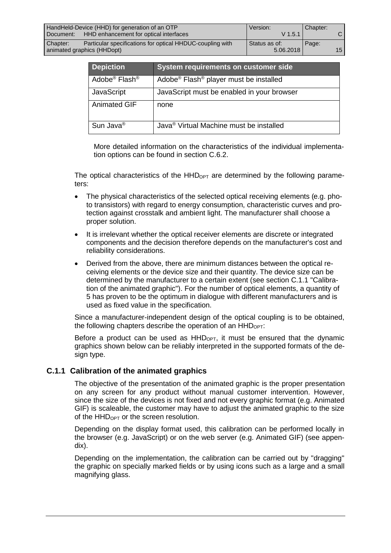| HandHeld-Device (HHD) for generation of an OTP |                                                           | Version:      | Chapter: |                 |
|------------------------------------------------|-----------------------------------------------------------|---------------|----------|-----------------|
| l Document:                                    | HHD enhancement for optical interfaces                    | $V$ 1.5.1     |          | C I             |
| Chapter:                                       | Particular specifications for optical HHDUC-coupling with | Status as of: | Page:    |                 |
| animated graphics (HHDopt)                     |                                                           | 5.06.2018     |          | 15 <sub>l</sub> |

| <b>Depiction</b>                      | System requirements on customer side                           |
|---------------------------------------|----------------------------------------------------------------|
| Adobe <sup>®</sup> Flash <sup>®</sup> | Adobe <sup>®</sup> Flash <sup>®</sup> player must be installed |
| JavaScript                            | JavaScript must be enabled in your browser                     |
| <b>Animated GIF</b>                   | none                                                           |
| Sun Java <sup>®</sup>                 | Java <sup>®</sup> Virtual Machine must be installed            |

More detailed information on the characteristics of the individual implementation options can be found in section C.6.2.

The optical characteristics of the  $HHD<sub>OPT</sub>$  are determined by the following parameters:

- · The physical characteristics of the selected optical receiving elements (e.g. photo transistors) with regard to energy consumption, characteristic curves and protection against crosstalk and ambient light. The manufacturer shall choose a proper solution.
- · It is irrelevant whether the optical receiver elements are discrete or integrated components and the decision therefore depends on the manufacturer's cost and reliability considerations.
- · Derived from the above, there are minimum distances between the optical receiving elements or the device size and their quantity. The device size can be determined by the manufacturer to a certain extent (see section C.1.1 "Calibration of the animated graphic"). For the number of optical elements, a quantity of 5 has proven to be the optimum in dialogue with different manufacturers and is used as fixed value in the specification.

Since a manufacturer-independent design of the optical coupling is to be obtained, the following chapters describe the operation of an HHD<sub>OPT</sub>:

Before a product can be used as  $HHD_{OPT}$ , it must be ensured that the dynamic graphics shown below can be reliably interpreted in the supported formats of the design type.

#### **C.1.1 Calibration of the animated graphics**

The objective of the presentation of the animated graphic is the proper presentation on any screen for any product without manual customer intervention. However, since the size of the devices is not fixed and not every graphic format (e.g. Animated GIF) is scaleable, the customer may have to adjust the animated graphic to the size of the  $HHD<sub>OPT</sub>$  or the screen resolution.

Depending on the display format used, this calibration can be performed locally in the browser (e.g. JavaScript) or on the web server (e.g. Animated GIF) (see appendix).

Depending on the implementation, the calibration can be carried out by "dragging" the graphic on specially marked fields or by using icons such as a large and a small magnifying glass.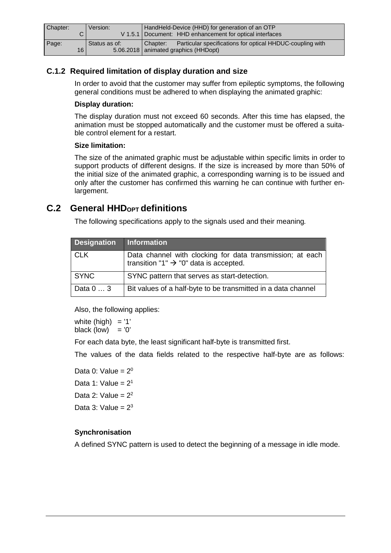| Chapter:                 | Version:      | HandHeld-Device (HHD) for generation of an OTP<br>V 1.5.1   Document: HHD enhancement for optical interfaces    |
|--------------------------|---------------|-----------------------------------------------------------------------------------------------------------------|
| Page:<br>16 <sub>1</sub> | Status as of: | Particular specifications for optical HHDUC-coupling with<br>Chapter:<br>5.06.2018   animated graphics (HHDopt) |

### **C.1.2 Required limitation of display duration and size**

In order to avoid that the customer may suffer from epileptic symptoms, the following general conditions must be adhered to when displaying the animated graphic:

#### **Display duration:**

The display duration must not exceed 60 seconds. After this time has elapsed, the animation must be stopped automatically and the customer must be offered a suitable control element for a restart.

#### **Size limitation:**

The size of the animated graphic must be adjustable within specific limits in order to support products of different designs. If the size is increased by more than 50% of the initial size of the animated graphic, a corresponding warning is to be issued and only after the customer has confirmed this warning he can continue with further enlargement.

# **C.2 General HHDOPT definitions**

The following specifications apply to the signals used and their meaning.

| <b>Designation</b> | Information                                                                                                     |
|--------------------|-----------------------------------------------------------------------------------------------------------------|
| CLK                | Data channel with clocking for data transmission; at each<br>transition "1" $\rightarrow$ "0" data is accepted. |
| <b>SYNC</b>        | SYNC pattern that serves as start-detection.                                                                    |
| Data 0  3          | Bit values of a half-byte to be transmitted in a data channel                                                   |

Also, the following applies:

white (high)  $= '1'$ black (low)  $= '0'$ 

For each data byte, the least significant half-byte is transmitted first.

The values of the data fields related to the respective half-byte are as follows:

Data 0: Value =  $2^0$ Data 1: Value =  $2<sup>1</sup>$ Data 2: Value =  $2^2$ Data  $3:$  Value =  $2^3$ 

#### **Synchronisation**

A defined SYNC pattern is used to detect the beginning of a message in idle mode.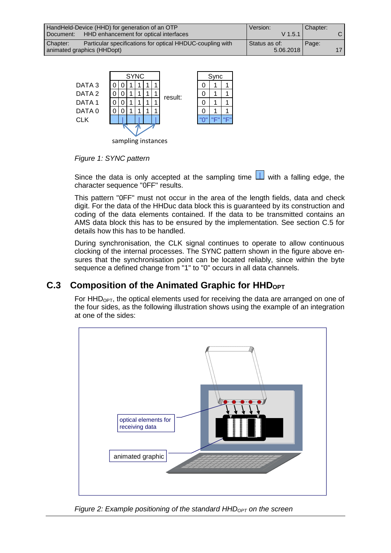|           | HandHeld-Device (HHD) for generation of an OTP            | Version:        | Chapter: |                 |
|-----------|-----------------------------------------------------------|-----------------|----------|-----------------|
| Document: | HHD enhancement for optical interfaces                    | $V$ 1.5.1       |          | C I             |
| Chapter:  | Particular specifications for optical HHDUC-coupling with | l Status as of: | Page:    |                 |
|           | animated graphics (HHDopt)                                | 5.06.2018       |          | 17 <sub>1</sub> |



*Figure 1: SYNC pattern*

Since the data is only accepted at the sampling time  $\Box$  with a falling edge, the character sequence "0FF" results.

This pattern "0FF" must not occur in the area of the length fields, data and check digit. For the data of the HHDuc data block this is guaranteed by its construction and coding of the data elements contained. If the data to be transmitted contains an AMS data block this has to be ensured by the implementation. See section C.5 for details how this has to be handled.

During synchronisation, the CLK signal continues to operate to allow continuous clocking of the internal processes. The SYNC pattern shown in the figure above ensures that the synchronisation point can be located reliably, since within the byte sequence a defined change from "1" to "0" occurs in all data channels.

# C.3 Composition of the Animated Graphic for HHD<sub>OPT</sub>

For  $HHD<sub>OPT</sub>$ , the optical elements used for receiving the data are arranged on one of the four sides, as the following illustration shows using the example of an integration at one of the sides:



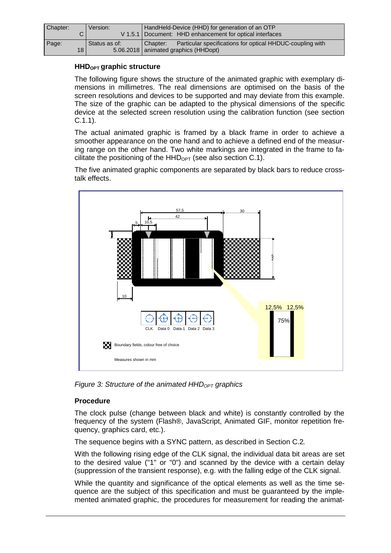| Chapter: |    | Version:      | HandHeld-Device (HHD) for generation of an OTP                        |  |
|----------|----|---------------|-----------------------------------------------------------------------|--|
|          |    |               | V 1.5.1   Document: HHD enhancement for optical interfaces            |  |
| Page:    |    | Status as of: | Particular specifications for optical HHDUC-coupling with<br>Chapter: |  |
|          | 18 |               | 5.06.2018   animated graphics (HHDopt)                                |  |

#### **HHDOPT graphic structure**

The following figure shows the structure of the animated graphic with exemplary dimensions in millimetres. The real dimensions are optimised on the basis of the screen resolutions and devices to be supported and may deviate from this example. The size of the graphic can be adapted to the physical dimensions of the specific device at the selected screen resolution using the calibration function (see section C.1.1).

The actual animated graphic is framed by a black frame in order to achieve a smoother appearance on the one hand and to achieve a defined end of the measuring range on the other hand. Two white markings are integrated in the frame to facilitate the positioning of the  $HHD_{\text{OPT}}$  (see also section C.1).

The five animated graphic components are separated by black bars to reduce crosstalk effects.



*Figure* 3: Structure of the animated HHD<sub>OPT</sub> graphics

#### **Procedure**

The clock pulse (change between black and white) is constantly controlled by the frequency of the system (Flash®, JavaScript, Animated GIF, monitor repetition frequency, graphics card, etc.).

The sequence begins with a SYNC pattern, as described in Section C.2.

With the following rising edge of the CLK signal, the individual data bit areas are set to the desired value ("1" or "0") and scanned by the device with a certain delay (suppression of the transient response), e.g. with the falling edge of the CLK signal.

While the quantity and significance of the optical elements as well as the time sequence are the subject of this specification and must be guaranteed by the implemented animated graphic, the procedures for measurement for reading the animat-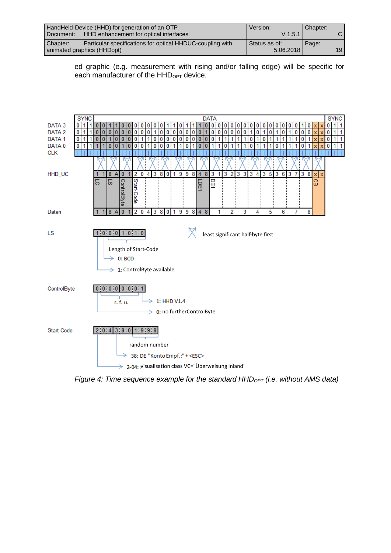|           | HandHeld-Device (HHD) for generation of an OTP            | Version:      | Chapter: |                 |
|-----------|-----------------------------------------------------------|---------------|----------|-----------------|
| Document: | HHD enhancement for optical interfaces                    | $V$ 1.5.1     |          |                 |
| Chapter:  | Particular specifications for optical HHDUC-coupling with | Status as of: | Page:    |                 |
|           | animated graphics (HHDopt)                                | 5.06.2018     |          | 19 <sup>1</sup> |

ed graphic (e.g. measurement with rising and/or falling edge) will be specific for each manufacturer of the  $HHD<sub>OPT</sub>$  device.



*Figure* 4: Time sequence example for the standard HHD<sub>OPT</sub> (i.e. without AMS data)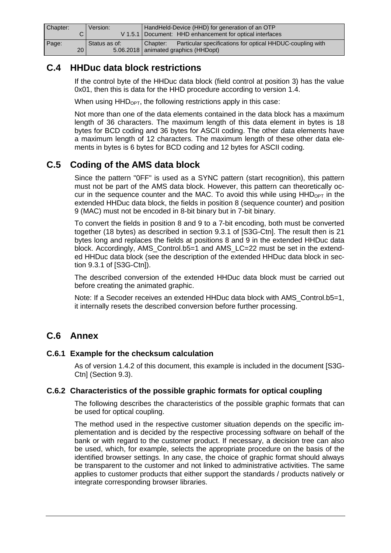| Chapter: | Version:      | HandHeld-Device (HHD) for generation of an OTP                        |  |
|----------|---------------|-----------------------------------------------------------------------|--|
|          |               | V 1.5.1   Document: HHD enhancement for optical interfaces            |  |
| Page:    | Status as of: | Particular specifications for optical HHDUC-coupling with<br>Chapter: |  |
| 20 I     |               | 5.06.2018   animated graphics (HHDopt)                                |  |

# **C.4 HHDuc data block restrictions**

If the control byte of the HHDuc data block (field control at position 3) has the value 0x01, then this is data for the HHD procedure according to version 1.4.

When using  $HHD<sub>OPT</sub>$ , the following restrictions apply in this case:

Not more than one of the data elements contained in the data block has a maximum length of 36 characters. The maximum length of this data element in bytes is 18 bytes for BCD coding and 36 bytes for ASCII coding. The other data elements have a maximum length of 12 characters. The maximum length of these other data elements in bytes is 6 bytes for BCD coding and 12 bytes for ASCII coding.

# **C.5 Coding of the AMS data block**

Since the pattern "0FF" is used as a SYNC pattern (start recognition), this pattern must not be part of the AMS data block. However, this pattern can theoretically occur in the sequence counter and the MAC. To avoid this while using  $HHD_{\text{OPT}}$  in the extended HHDuc data block, the fields in position 8 (sequence counter) and position 9 (MAC) must not be encoded in 8-bit binary but in 7-bit binary.

To convert the fields in position 8 and 9 to a 7-bit encoding, both must be converted together (18 bytes) as described in section 9.3.1 of [S3G-Ctn]. The result then is 21 bytes long and replaces the fields at positions 8 and 9 in the extended HHDuc data block. Accordingly, AMS\_Control.b5=1 and AMS\_LC=22 must be set in the extended HHDuc data block (see the description of the extended HHDuc data block in section 9.3.1 of [S3G-Ctn]).

The described conversion of the extended HHDuc data block must be carried out before creating the animated graphic.

Note: If a Secoder receives an extended HHDuc data block with AMS\_Control.b5=1, it internally resets the described conversion before further processing.

# **C.6 Annex**

#### **C.6.1 Example for the checksum calculation**

As of version 1.4.2 of this document, this example is included in the document [S3G-Ctn] (Section 9.3).

#### **C.6.2 Characteristics of the possible graphic formats for optical coupling**

The following describes the characteristics of the possible graphic formats that can be used for optical coupling.

The method used in the respective customer situation depends on the specific implementation and is decided by the respective processing software on behalf of the bank or with regard to the customer product. If necessary, a decision tree can also be used, which, for example, selects the appropriate procedure on the basis of the identified browser settings. In any case, the choice of graphic format should always be transparent to the customer and not linked to administrative activities. The same applies to customer products that either support the standards / products natively or integrate corresponding browser libraries.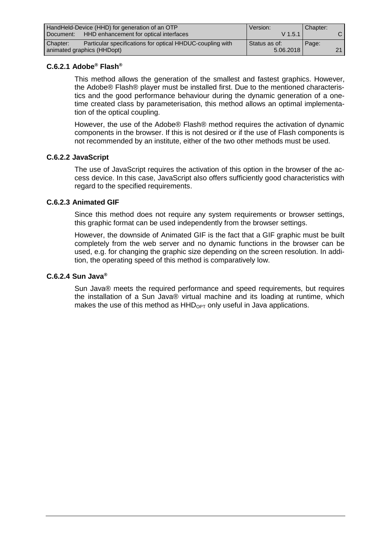|           | HandHeld-Device (HHD) for generation of an OTP            | Version:      | Chapter: |                 |
|-----------|-----------------------------------------------------------|---------------|----------|-----------------|
| Document: | HHD enhancement for optical interfaces                    | $V$ 1.5.1     |          |                 |
| Chapter:  | Particular specifications for optical HHDUC-coupling with | Status as of: | Page:    |                 |
|           | animated graphics (HHDopt)                                | 5.06.2018     |          | 21 <sub>1</sub> |

#### **C.6.2.1 Adobe® Flash®**

This method allows the generation of the smallest and fastest graphics. However, the Adobe® Flash® player must be installed first. Due to the mentioned characteristics and the good performance behaviour during the dynamic generation of a onetime created class by parameterisation, this method allows an optimal implementation of the optical coupling.

However, the use of the Adobe® Flash® method requires the activation of dynamic components in the browser. If this is not desired or if the use of Flash components is not recommended by an institute, either of the two other methods must be used.

#### **C.6.2.2 JavaScript**

The use of JavaScript requires the activation of this option in the browser of the access device. In this case, JavaScript also offers sufficiently good characteristics with regard to the specified requirements.

#### **C.6.2.3 Animated GIF**

Since this method does not require any system requirements or browser settings, this graphic format can be used independently from the browser settings.

However, the downside of Animated GIF is the fact that a GIF graphic must be built completely from the web server and no dynamic functions in the browser can be used, e.g. for changing the graphic size depending on the screen resolution. In addition, the operating speed of this method is comparatively low.

#### **C.6.2.4 Sun Java®**

Sun Java® meets the required performance and speed requirements, but requires the installation of a Sun Java® virtual machine and its loading at runtime, which makes the use of this method as  $HHD_{OPT}$  only useful in Java applications.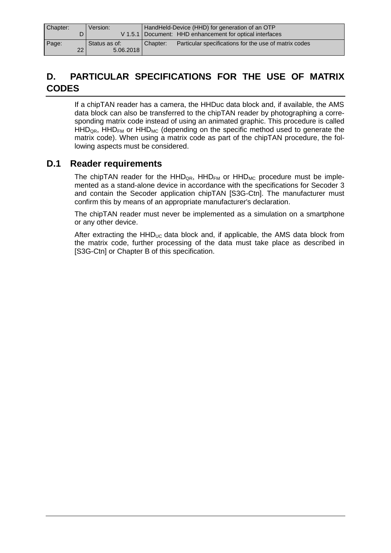| Chapter: |    | Version:      |          | HandHeld-Device (HHD) for generation of an OTP             |
|----------|----|---------------|----------|------------------------------------------------------------|
|          |    |               |          | V 1.5.1   Document: HHD enhancement for optical interfaces |
| Page:    |    | Status as of: | Chapter: | Particular specifications for the use of matrix codes      |
|          | 22 | 5.06.2018     |          |                                                            |

# **D. PARTICULAR SPECIFICATIONS FOR THE USE OF MATRIX CODES**

If a chipTAN reader has a camera, the HHDuc data block and, if available, the AMS data block can also be transferred to the chipTAN reader by photographing a corresponding matrix code instead of using an animated graphic. This procedure is called  $HHD<sub>QR</sub>$ ,  $HHD<sub>FM</sub>$  or  $HHD<sub>MC</sub>$  (depending on the specific method used to generate the matrix code). When using a matrix code as part of the chipTAN procedure, the following aspects must be considered.

# **D.1 Reader requirements**

The chipTAN reader for the  $HHD_{QR}$ ,  $HHD_{FM}$  or  $HHD_{MC}$  procedure must be implemented as a stand-alone device in accordance with the specifications for Secoder 3 and contain the Secoder application chipTAN [S3G-Ctn]. The manufacturer must confirm this by means of an appropriate manufacturer's declaration.

The chipTAN reader must never be implemented as a simulation on a smartphone or any other device.

After extracting the  $HHD_{UC}$  data block and, if applicable, the AMS data block from the matrix code, further processing of the data must take place as described in [S3G-Ctn] or Chapter B of this specification.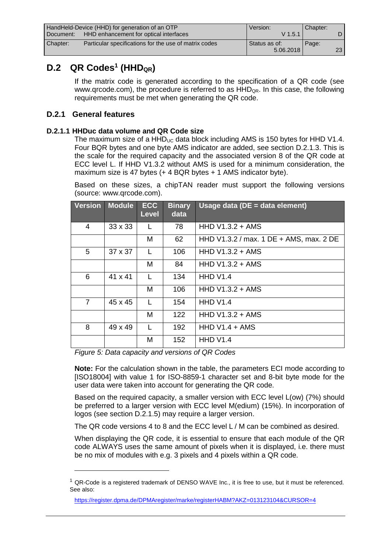|           | HandHeld-Device (HHD) for generation of an OTP        | Version:      | Chapter: |                 |
|-----------|-------------------------------------------------------|---------------|----------|-----------------|
| Document: | HHD enhancement for optical interfaces                | $V$ 1.5.1     |          |                 |
| Chapter:  | Particular specifications for the use of matrix codes | Status as of: | Page:    |                 |
|           |                                                       | 5.06.2018     |          | 23 <sub>1</sub> |

# **D.2 QR Codes<sup>1</sup> (HHDQR)**

If the matrix code is generated according to the specification of a QR code (see www.grcode.com), the procedure is referred to as  $HHD_{QR}$ . In this case, the following requirements must be met when generating the QR code.

#### **D.2.1 General features**

#### **D.2.1.1 HHDuc data volume and QR Code size**

The maximum size of a  $HHD_{UC}$  data block including AMS is 150 bytes for HHD V1.4. Four BQR bytes and one byte AMS indicator are added, see section D.2.1.3. This is the scale for the required capacity and the associated version 8 of the QR code at ECC level L. If HHD V1.3.2 without AMS is used for a minimum consideration, the maximum size is 47 bytes (+ 4 BQR bytes + 1 AMS indicator byte).

Based on these sizes, a chipTAN reader must support the following versions (source: [www.qrcode.com\)](www.qrcode.com).

| <b>Version</b> | <b>Module</b>  | <b>ECC</b><br><b>Level</b> | <b>Binary</b><br>data | Usage data (DE = data element)          |
|----------------|----------------|----------------------------|-----------------------|-----------------------------------------|
| 4              | $33 \times 33$ |                            | 78                    | HHD $V1.3.2 + AMS$                      |
|                |                | M                          | 62                    | HHD V1.3.2 / max. 1 DE + AMS, max. 2 DE |
| 5              | $37 \times 37$ |                            | 106                   | HHD $V1.3.2 + AMS$                      |
|                |                | M                          | 84                    | HHD $V1.3.2 + AMS$                      |
| 6              | 41 x 41        | L                          | 134                   | <b>HHD V1.4</b>                         |
|                |                | M                          | 106                   | HHD $V1.3.2 + AMS$                      |
| $\overline{7}$ | 45 x 45        | L                          | 154                   | <b>HHD V1.4</b>                         |
|                |                | M                          | 122                   | HHD $V1.3.2 + AMS$                      |
| 8              | 49 x 49        | L                          | 192                   | HHD $V1.4 + ANS$                        |
|                |                | M                          | 152                   | <b>HHD V1.4</b>                         |

*Figure 5: Data capacity and versions of QR Codes*

**Note:** For the calculation shown in the table, the parameters ECI mode according to [ISO18004] with value 1 for ISO-8859-1 character set and 8-bit byte mode for the user data were taken into account for generating the QR code.

Based on the required capacity, a smaller version with ECC level L(ow) (7%) should be preferred to a larger version with ECC level M(edium) (15%). In incorporation of logos (see section D.2.1.5) may require a larger version.

The QR code versions 4 to 8 and the ECC level L / M can be combined as desired.

When displaying the QR code, it is essential to ensure that each module of the QR code ALWAYS uses the same amount of pixels when it is displayed, i.e. there must be no mix of modules with e.g. 3 pixels and 4 pixels within a QR code.

 $1$  QR-Code is a registered trademark of DENSO WAVE Inc., it is free to use, but it must be referenced. See also:

<https://register.dpma.de/DPMAregister/marke/registerHABM?AKZ=013123104&CURSOR=4>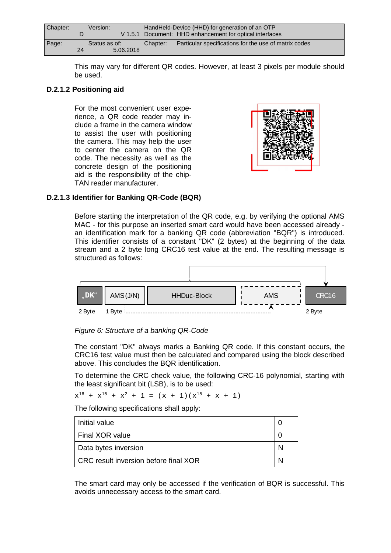| Chapter: | Version:      | HandHeld-Device (HHD) for generation of an OTP                    |  |
|----------|---------------|-------------------------------------------------------------------|--|
|          |               | V 1.5.1   Document: HHD enhancement for optical interfaces        |  |
| Page:    | Status as of: | Particular specifications for the use of matrix codes<br>Chapter: |  |
| 24       | 5.06.2018     |                                                                   |  |

This may vary for different QR codes. However, at least 3 pixels per module should be used.

#### **D.2.1.2 Positioning aid**

For the most convenient user experience, a QR code reader may include a frame in the camera window to assist the user with positioning the camera. This may help the user to center the camera on the QR code. The necessity as well as the concrete design of the positioning aid is the responsibility of the chip-TAN reader manufacturer.



#### **D.2.1.3 Identifier for Banking QR-Code (BQR)**

Before starting the interpretation of the QR code, e.g. by verifying the optional AMS MAC - for this purpose an inserted smart card would have been accessed already an identification mark for a banking QR code (abbreviation "BQR") is introduced. This identifier consists of a constant "DK" (2 bytes) at the beginning of the data stream and a 2 byte long CRC16 test value at the end. The resulting message is structured as follows:





The constant "DK" always marks a Banking QR code. If this constant occurs, the CRC16 test value must then be calculated and compared using the block described above. This concludes the BQR identification.

To determine the CRC check value, the following CRC-16 polynomial, starting with the least significant bit (LSB), is to be used:

 $x^{16} + x^{15} + x^2 + 1 = (x + 1)(x^{15} + x + 1)$ 

The following specifications shall apply:

| Initial value                         |  |
|---------------------------------------|--|
| Final XOR value                       |  |
| Data bytes inversion                  |  |
| CRC result inversion before final XOR |  |

The smart card may only be accessed if the verification of BQR is successful. This avoids unnecessary access to the smart card.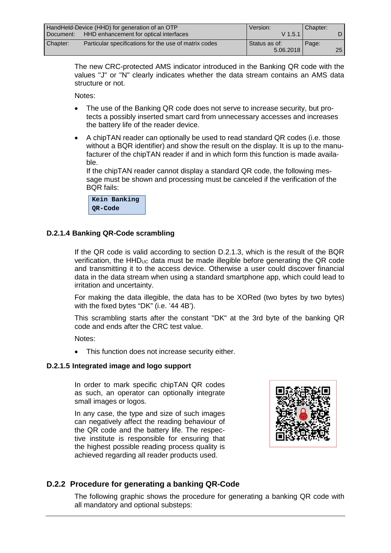|           | HandHeld-Device (HHD) for generation of an OTP        | Version:      | Chapter: |      |
|-----------|-------------------------------------------------------|---------------|----------|------|
| Document: | HHD enhancement for optical interfaces                | $V$ 1.5.1     |          |      |
| Chapter:  | Particular specifications for the use of matrix codes | Status as of: | Page:    |      |
|           |                                                       | 5.06.2018     |          | 25 I |

The new CRC-protected AMS indicator introduced in the Banking QR code with the values "J" or "N" clearly indicates whether the data stream contains an AMS data structure or not.

Notes:

- The use of the Banking QR code does not serve to increase security, but protects a possibly inserted smart card from unnecessary accesses and increases the battery life of the reader device.
- · A chipTAN reader can optionally be used to read standard QR codes (i.e. those without a BQR identifier) and show the result on the display. It is up to the manufacturer of the chipTAN reader if and in which form this function is made available.

If the chipTAN reader cannot display a standard QR code, the following message must be shown and processing must be canceled if the verification of the BQR fails:

**Kein Banking QR-Code**

#### **D.2.1.4 Banking QR-Code scrambling**

If the QR code is valid according to section D.2.1.3, which is the result of the BQR verification, the  $HHD_{UC}$  data must be made illegible before generating the QR code and transmitting it to the access device. Otherwise a user could discover financial data in the data stream when using a standard smartphone app, which could lead to irritation and uncertainty.

For making the data illegible, the data has to be XORed (two bytes by two bytes) with the fixed bytes "DK" (i.e. '44 4B').

This scrambling starts after the constant "DK" at the 3rd byte of the banking QR code and ends after the CRC test value.

Notes:

· This function does not increase security either.

#### **D.2.1.5 Integrated image and logo support**

In order to mark specific chipTAN QR codes as such, an operator can optionally integrate small images or logos.

In any case, the type and size of such images can negatively affect the reading behaviour of the QR code and the battery life. The respective institute is responsible for ensuring that the highest possible reading process quality is achieved regarding all reader products used.



### **D.2.2 Procedure for generating a banking QR-Code**

The following graphic shows the procedure for generating a banking QR code with all mandatory and optional substeps: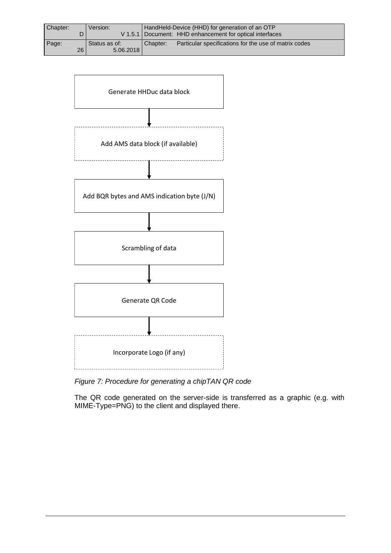| Chapter: |    | Version:      |          | HandHeld-Device (HHD) for generation of an OTP             |
|----------|----|---------------|----------|------------------------------------------------------------|
|          |    |               |          | V 1.5.1   Document: HHD enhancement for optical interfaces |
| Page:    |    | Status as of: | Chapter: | Particular specifications for the use of matrix codes      |
|          | 26 | 5.06.2018     |          |                                                            |



*Figure 7: Procedure for generating a chipTAN QR code*

The QR code generated on the server-side is transferred as a graphic (e.g. with MIME-Type=PNG) to the client and displayed there.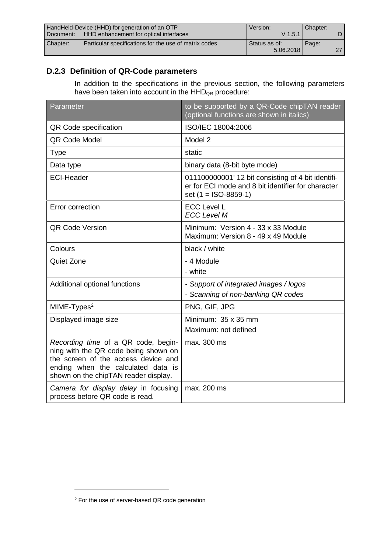|                                                       | HandHeld-Device (HHD) for generation of an OTP        | Version:      | Chapter: |     |
|-------------------------------------------------------|-------------------------------------------------------|---------------|----------|-----|
| HHD enhancement for optical interfaces<br>l Document: |                                                       | $V$ 1.5.1     |          |     |
| Chapter:                                              | Particular specifications for the use of matrix codes | Status as of: | Page:    |     |
|                                                       |                                                       | 5.06.2018     |          | 27. |

# **D.2.3 Definition of QR-Code parameters**

In addition to the specifications in the previous section, the following parameters have been taken into account in the  $HHD<sub>QR</sub>$  procedure:

| Parameter                                                                                                                                                                                        | to be supported by a QR-Code chipTAN reader<br>(optional functions are shown in italics)                                         |
|--------------------------------------------------------------------------------------------------------------------------------------------------------------------------------------------------|----------------------------------------------------------------------------------------------------------------------------------|
| QR Code specification                                                                                                                                                                            | ISO/IEC 18004:2006                                                                                                               |
| QR Code Model                                                                                                                                                                                    | Model 2                                                                                                                          |
| <b>Type</b>                                                                                                                                                                                      | static                                                                                                                           |
| Data type                                                                                                                                                                                        | binary data (8-bit byte mode)                                                                                                    |
| <b>ECI-Header</b>                                                                                                                                                                                | 011100000001' 12 bit consisting of 4 bit identifi-<br>er for ECI mode and 8 bit identifier for character<br>set (1 = ISO-8859-1) |
| Error correction                                                                                                                                                                                 | <b>ECC Level L</b><br><b>ECC Level M</b>                                                                                         |
| <b>QR Code Version</b>                                                                                                                                                                           | Minimum: Version 4 - 33 x 33 Module<br>Maximum: Version 8 - 49 x 49 Module                                                       |
| Colours                                                                                                                                                                                          | black / white                                                                                                                    |
| <b>Quiet Zone</b>                                                                                                                                                                                | - 4 Module<br>- white                                                                                                            |
| Additional optional functions                                                                                                                                                                    | - Support of integrated images / logos<br>- Scanning of non-banking QR codes                                                     |
| MIME-Types <sup>2</sup>                                                                                                                                                                          | PNG, GIF, JPG                                                                                                                    |
| Displayed image size                                                                                                                                                                             | Minimum: 35 x 35 mm<br>Maximum: not defined                                                                                      |
| Recording time of a QR code, begin-<br>ning with the QR code being shown on<br>the screen of the access device and<br>ending when the calculated data is<br>shown on the chipTAN reader display. | max. 300 ms                                                                                                                      |
| Camera for display delay in focusing<br>process before QR code is read.                                                                                                                          | max. 200 ms                                                                                                                      |

 $\overline{a}$ 

<sup>2</sup> For the use of server-based QR code generation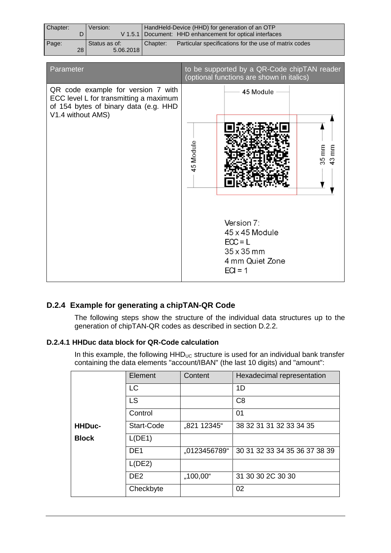| Chapter: |    | Version:      | HandHeld-Device (HHD) for generation of an OTP |                                                            |
|----------|----|---------------|------------------------------------------------|------------------------------------------------------------|
|          |    |               |                                                | V 1.5.1   Document: HHD enhancement for optical interfaces |
| Page:    |    | Status as of: | Chapter:                                       | Particular specifications for the use of matrix codes      |
|          | 28 | 5.06.2018     |                                                |                                                            |

| Parameter                                                                                                                                  |           | to be supported by a QR-Code chipTAN reader<br>(optional functions are shown in italics)              |                            |
|--------------------------------------------------------------------------------------------------------------------------------------------|-----------|-------------------------------------------------------------------------------------------------------|----------------------------|
| QR code example for version 7 with<br>ECC level L for transmitting a maximum<br>of 154 bytes of binary data (e.g. HHD<br>V1.4 without AMS) |           | 45 Module                                                                                             |                            |
|                                                                                                                                            | 45 Module |                                                                                                       | $35 \, \text{mm}$<br>43 mm |
|                                                                                                                                            |           | Version 7:<br>$45 \times 45$ Module<br>$ECC = L$<br>$35 \times 35$ mm<br>4 mm Quiet Zone<br>$ECI = 1$ |                            |

### **D.2.4 Example for generating a chipTAN-QR Code**

The following steps show the structure of the individual data structures up to the generation of chipTAN-QR codes as described in section D.2.2.

#### **D.2.4.1 HHDuc data block for QR-Code calculation**

In this example, the following  $HHD_{UC}$  structure is used for an individual bank transfer containing the data elements "account/IBAN" (the last 10 digits) and "amount":

|               | Element         | Content      | Hexadecimal representation    |
|---------------|-----------------|--------------|-------------------------------|
|               | LC              |              | 1D                            |
|               | <b>LS</b>       |              | C <sub>8</sub>                |
|               | Control         |              | 01                            |
| <b>HHDuc-</b> | Start-Code      | "821 12345"  | 38 32 31 31 32 33 34 35       |
| <b>Block</b>  | L(DE1)          |              |                               |
|               | DE <sub>1</sub> | "0123456789" | 30 31 32 33 34 35 36 37 38 39 |
|               | L(DE2)          |              |                               |
|               | DE <sub>2</sub> | $,100,00$ "  | 31 30 30 2C 30 30             |
|               | Checkbyte       |              | 02                            |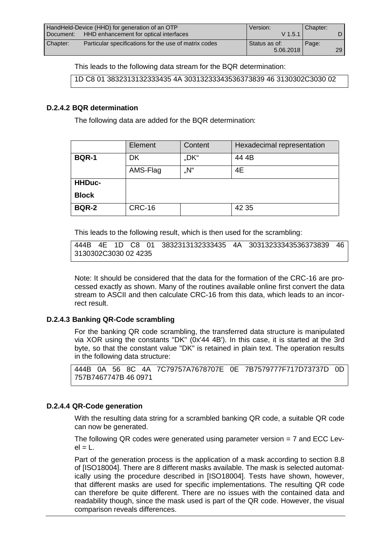|                                                     | HandHeld-Device (HHD) for generation of an OTP        | Version:      | Chapter: |     |
|-----------------------------------------------------|-------------------------------------------------------|---------------|----------|-----|
| HHD enhancement for optical interfaces<br>Document: |                                                       | $V$ 1.5.1     |          |     |
| Chapter:                                            | Particular specifications for the use of matrix codes | Status as of: | Page:    |     |
|                                                     |                                                       | 5.06.2018     |          | 29. |

This leads to the following data stream for the BQR determination:

1D C8 01 3832313132333435 4A 30313233343536373839 46 3130302C3030 02

#### **D.2.4.2 BQR determination**

The following data are added for the BQR determination:

|               | Element       | Content | Hexadecimal representation |
|---------------|---------------|---------|----------------------------|
| <b>BQR-1</b>  | DK            | "DK"    | 44 4B                      |
|               | AMS-Flag      | "N"     | 4E                         |
| <b>HHDuc-</b> |               |         |                            |
| <b>Block</b>  |               |         |                            |
| <b>BQR-2</b>  | <b>CRC-16</b> |         | 42 35                      |

This leads to the following result, which is then used for the scrambling:

444B 4E 1D C8 01 3832313132333435 4A 30313233343536373839 46 3130302C3030 02 4235

Note: It should be considered that the data for the formation of the CRC-16 are processed exactly as shown. Many of the routines available online first convert the data stream to ASCII and then calculate CRC-16 from this data, which leads to an incorrect result.

#### **D.2.4.3 Banking QR-Code scrambling**

For the banking QR code scrambling, the transferred data structure is manipulated via XOR using the constants "DK" (0x'44 4B'). In this case, it is started at the 3rd byte, so that the constant value "DK" is retained in plain text. The operation results in the following data structure:

444B 0A 56 8C 4A 7C79757A7678707E 0E 7B7579777F717D73737D 0D 757B7467747B 46 0971

#### **D.2.4.4 QR-Code generation**

With the resulting data string for a scrambled banking QR code, a suitable QR code can now be generated.

The following QR codes were generated using parameter version  $= 7$  and ECC Lev $el = L$ .

Part of the generation process is the application of a mask according to section 8.8 of [ISO18004]. There are 8 different masks available. The mask is selected automatically using the procedure described in [ISO18004]. Tests have shown, however, that different masks are used for specific implementations. The resulting QR code can therefore be quite different. There are no issues with the contained data and readability though, since the mask used is part of the QR code. However, the visual comparison reveals differences.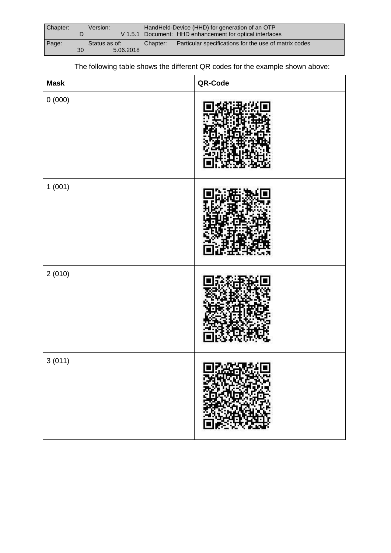| Chapter: |    | Version:      | HandHeld-Device (HHD) for generation of an OTP |                                                            |
|----------|----|---------------|------------------------------------------------|------------------------------------------------------------|
|          |    |               |                                                | V 1.5.1   Document: HHD enhancement for optical interfaces |
| Page:    |    | Status as of: | Chapter:                                       | Particular specifications for the use of matrix codes      |
|          | 30 | 5.06.2018     |                                                |                                                            |

The following table shows the different QR codes for the example shown above:

| <b>Mask</b> | QR-Code |
|-------------|---------|
| $0\ (000)$  |         |
| 1(001)      |         |
| 2(010)      |         |
| 3(011)      | 同义义法经同  |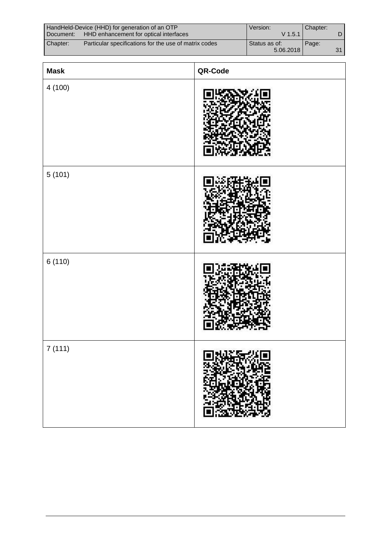|                                                  | HandHeld-Device (HHD) for generation of an OTP        | Version:      | Chapter: |    |
|--------------------------------------------------|-------------------------------------------------------|---------------|----------|----|
| Document: HHD enhancement for optical interfaces |                                                       | $V$ 1.5.1     |          |    |
| Chapter:                                         | Particular specifications for the use of matrix codes | Status as of: | Page:    |    |
|                                                  |                                                       | 5.06.2018     |          | 21 |

| <b>Mask</b> | QR-Code |
|-------------|---------|
| 4(100)      |         |
| 5(101)      |         |
| 6(110)      |         |
| 7(111)      | 同别类异类同  |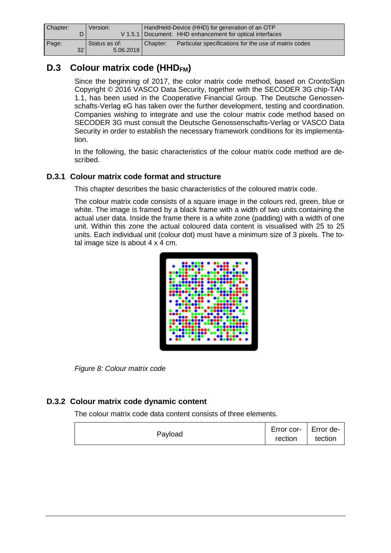| Chapter: |      | Version:      |          | HandHeld-Device (HHD) for generation of an OTP             |
|----------|------|---------------|----------|------------------------------------------------------------|
|          |      |               |          | V 1.5.1   Document: HHD enhancement for optical interfaces |
| Page:    |      | Status as of: | Chapter: | Particular specifications for the use of matrix codes      |
|          | 32 I | 5.06.2018     |          |                                                            |

# **D.3 Colour matrix code (HHDFM)**

Since the beginning of 2017, the color matrix code method, based on CrontoSign Copyright © 2016 VASCO Data Security, together with the SECODER 3G chip-TAN 1.1, has been used in the Cooperative Financial Group. The Deutsche Genossenschafts-Verlag eG has taken over the further development, testing and coordination. Companies wishing to integrate and use the colour matrix code method based on SECODER 3G must consult the Deutsche Genossenschafts-Verlag or VASCO Data Security in order to establish the necessary framework conditions for its implementation.

In the following, the basic characteristics of the colour matrix code method are described.

### **D.3.1 Colour matrix code format and structure**

This chapter describes the basic characteristics of the coloured matrix code.

The colour matrix code consists of a square image in the colours red, green, blue or white. The image is framed by a black frame with a width of two units containing the actual user data. Inside the frame there is a white zone (padding) with a width of one unit. Within this zone the actual coloured data content is visualised with 25 to 25 units. Each individual unit (colour dot) must have a minimum size of 3 pixels. The total image size is about 4 x 4 cm.



*Figure 8: Colour matrix code*

### **D.3.2 Colour matrix code dynamic content**

The colour matrix code data content consists of three elements.

|         | Error cor-   Error de- |  |
|---------|------------------------|--|
| Payload | rection tection        |  |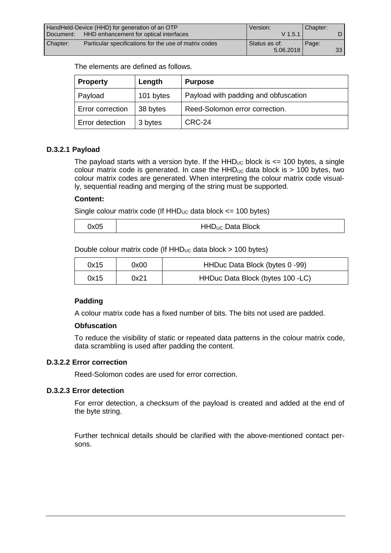| HandHeld-Device (HHD) for generation of an OTP |                                                       | Version:      | Chapter: |                 |
|------------------------------------------------|-------------------------------------------------------|---------------|----------|-----------------|
| Document:                                      | HHD enhancement for optical interfaces                | $V$ 1.5.1     |          |                 |
| Chapter:                                       | Particular specifications for the use of matrix codes | Status as of: | Page:    |                 |
|                                                |                                                       | 5.06.2018     |          | 33 <sup>1</sup> |

The elements are defined as follows.

| <b>Property</b>  | Length    | <b>Purpose</b>                       |
|------------------|-----------|--------------------------------------|
| Payload          | 101 bytes | Payload with padding and obfuscation |
| Error correction | 38 bytes  | Reed-Solomon error correction.       |
| Error detection  | 3 bytes   | CRC-24                               |

#### **D.3.2.1 Payload**

The payload starts with a version byte. If the  $HHD_{UC}$  block is  $\leq$  100 bytes, a single colour matrix code is generated. In case the  $HHD_{UC}$  data block is > 100 bytes, two colour matrix codes are generated. When interpreting the colour matrix code visually, sequential reading and merging of the string must be supported.

#### **Content:**

Single colour matrix code (If  $HHD_{UC}$  data block  $\leq$  100 bytes)

| 0x05 | HHD <sub>UC</sub> Data Block |
|------|------------------------------|
|------|------------------------------|

Double colour matrix code (If  $HHD_{UC}$  data block  $> 100$  bytes)

| 0x15 | 0x00 | HHDuc Data Block (bytes 0 -99)   |
|------|------|----------------------------------|
| 0x15 | 0x21 | HHDuc Data Block (bytes 100 -LC) |

#### **Padding**

A colour matrix code has a fixed number of bits. The bits not used are padded.

#### **Obfuscation**

To reduce the visibility of static or repeated data patterns in the colour matrix code, data scrambling is used after padding the content.

#### **D.3.2.2 Error correction**

Reed-Solomon codes are used for error correction.

#### **D.3.2.3 Error detection**

For error detection, a checksum of the payload is created and added at the end of the byte string.

Further technical details should be clarified with the above-mentioned contact persons.